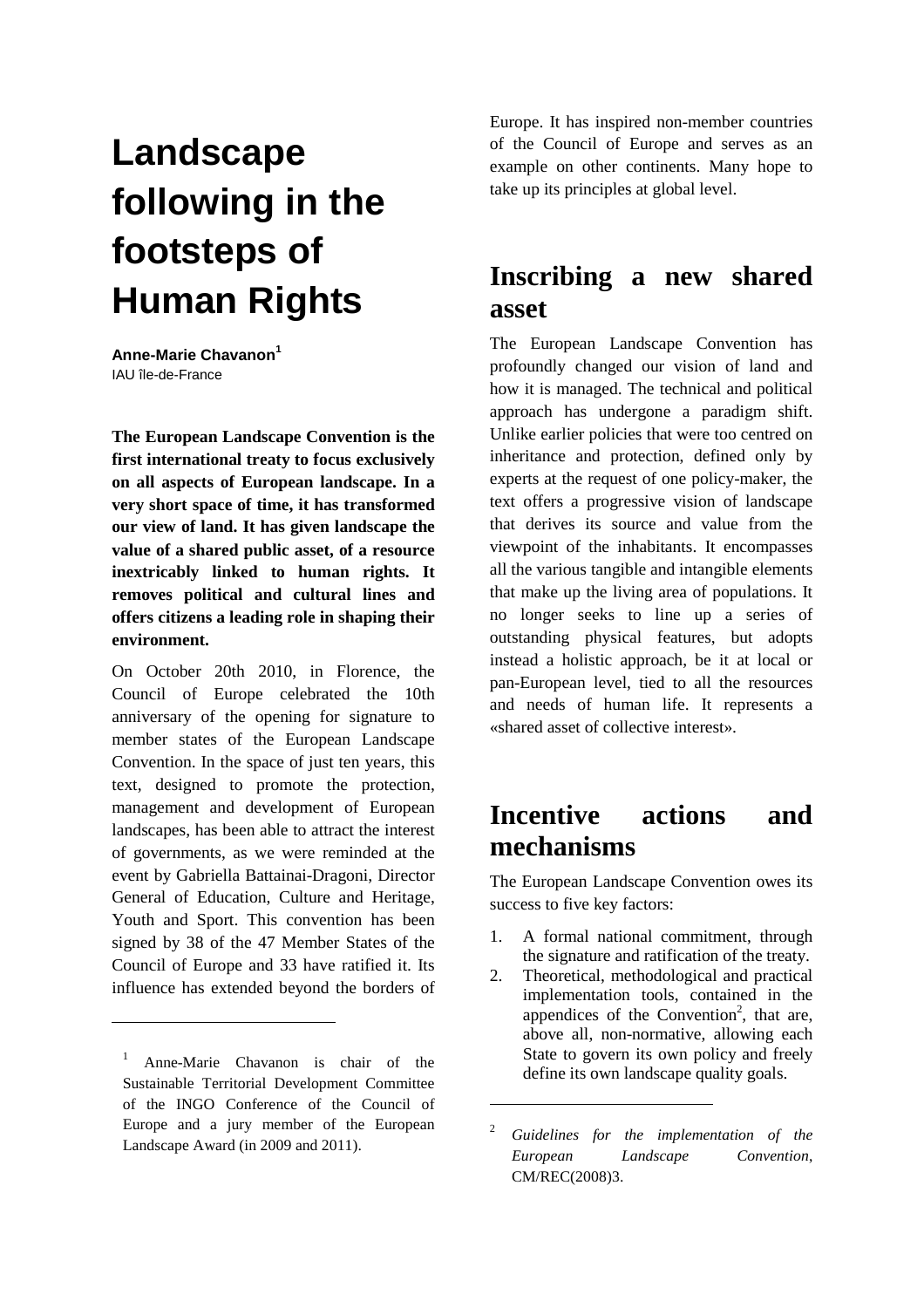# **Landscape following in the footsteps of Human Rights**

**Anne-Marie Chavanon<sup>1</sup>** IAU île-de-France

**The European Landscape Convention is the first international treaty to focus exclusively on all aspects of European landscape. In a very short space of time, it has transformed our view of land. It has given landscape the value of a shared public asset, of a resource inextricably linked to human rights. It removes political and cultural lines and offers citizens a leading role in shaping their environment.**

On October 20th 2010, in Florence, the Council of Europe celebrated the 10th anniversary of the opening for signature to member states of the European Landscape Convention. In the space of just ten years, this text, designed to promote the protection, management and development of European landscapes, has been able to attract the interest of governments, as we were reminded at the event by Gabriella Battainai-Dragoni, Director General of Education, Culture and Heritage, Youth and Sport. This convention has been signed by 38 of the 47 Member States of the Council of Europe and 33 have ratified it. Its influence has extended beyond the borders of

 $\overline{a}$ 

Europe. It has inspired non-member countries of the Council of Europe and serves as an example on other continents. Many hope to take up its principles at global level.

## **Inscribing a new shared asset**

The European Landscape Convention has profoundly changed our vision of land and how it is managed. The technical and political approach has undergone a paradigm shift. Unlike earlier policies that were too centred on inheritance and protection, defined only by experts at the request of one policy-maker, the text offers a progressive vision of landscape that derives its source and value from the viewpoint of the inhabitants. It encompasses all the various tangible and intangible elements that make up the living area of populations. It no longer seeks to line up a series of outstanding physical features, but adopts instead a holistic approach, be it at local or pan-European level, tied to all the resources and needs of human life. It represents a «shared asset of collective interest».

## **Incentive actions and mechanisms**

The European Landscape Convention owes its success to five key factors:

- 1. A formal national commitment, through the signature and ratification of the treaty.
- 2. Theoretical, methodological and practical implementation tools, contained in the appendices of the Convention<sup>2</sup>, that are, above all, non-normative, allowing each State to govern its own policy and freely define its own landscape quality goals.

 $\overline{a}$ 

<sup>&</sup>lt;sup>1</sup> Anne-Marie Chavanon is chair of the Sustainable Territorial Development Committee of the INGO Conference of the Council of Europe and a jury member of the European Landscape Award (in 2009 and 2011).

<sup>2</sup> *Guidelines for the implementation of the European Landscape Convention*, CM/REC(2008)3.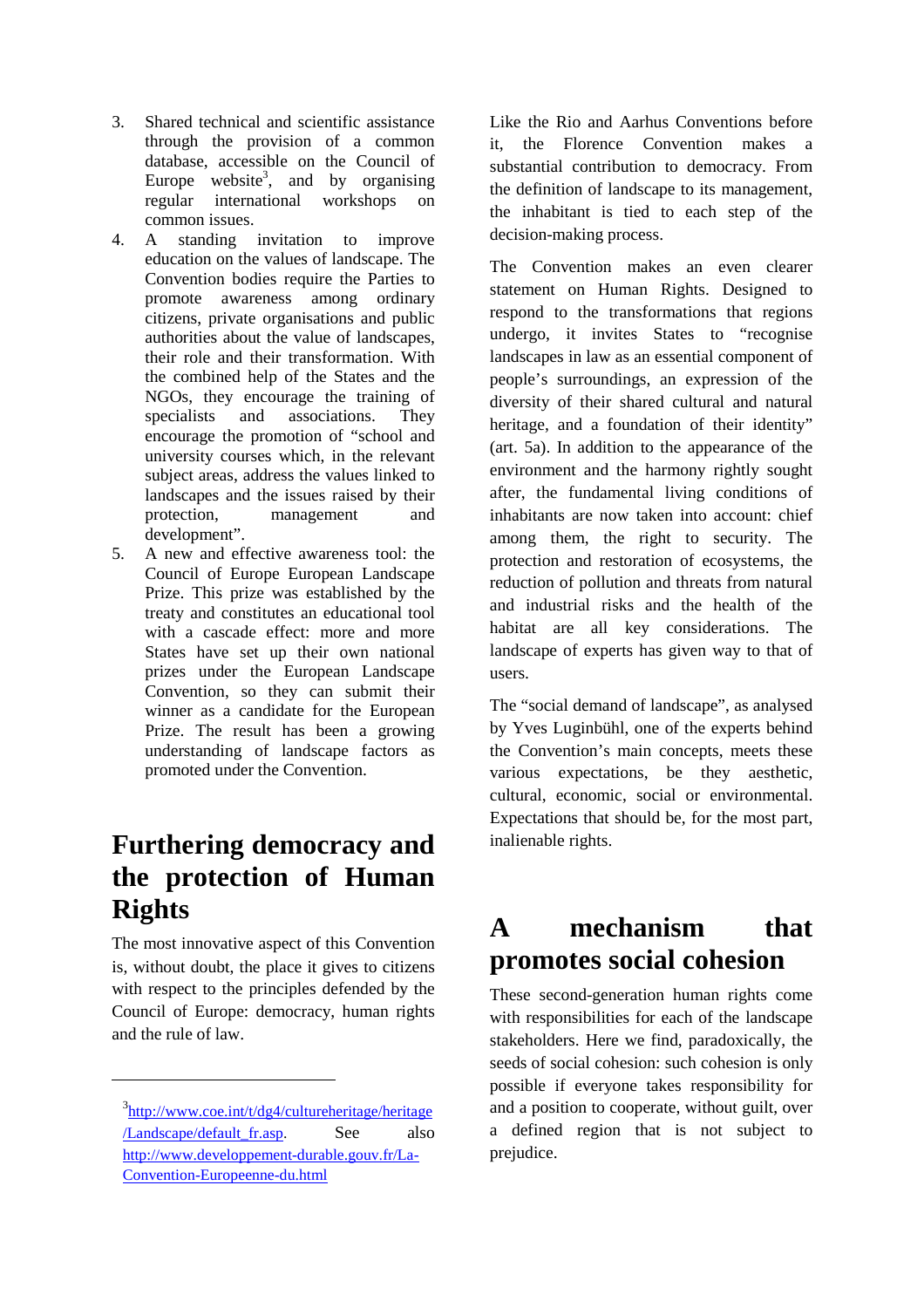- 3. Shared technical and scientific assistance through the provision of a common database, accessible on the Council of Europe website<sup>3</sup>, and by organising regular international workshops on common issues.
- 4. A standing invitation to improve education on the values of landscape. The Convention bodies require the Parties to promote awareness among ordinary citizens, private organisations and public authorities about the value of landscapes, their role and their transformation. With the combined help of the States and the NGOs, they encourage the training of specialists and associations. They encourage the promotion of "school and university courses which, in the relevant subject areas, address the values linked to landscapes and the issues raised by their protection, management and development".
- 5. A new and effective awareness tool: the Council of Europe European Landscape Prize. This prize was established by the treaty and constitutes an educational tool with a cascade effect: more and more States have set up their own national prizes under the European Landscape Convention, so they can submit their winner as a candidate for the European Prize. The result has been a growing understanding of landscape factors as promoted under the Convention.

## **Furthering democracy and the protection of Human Rights**

The most innovative aspect of this Convention is, without doubt, the place it gives to citizens with respect to the principles defended by the Council of Europe: democracy, human rights and the rule of law.

 $\overline{a}$ 

Like the Rio and Aarhus Conventions before it, the Florence Convention makes a substantial contribution to democracy. From the definition of landscape to its management, the inhabitant is tied to each step of the decision-making process.

The Convention makes an even clearer statement on Human Rights. Designed to respond to the transformations that regions undergo, it invites States to "recognise landscapes in law as an essential component of people's surroundings, an expression of the diversity of their shared cultural and natural heritage, and a foundation of their identity" (art. 5a). In addition to the appearance of the environment and the harmony rightly sought after, the fundamental living conditions of inhabitants are now taken into account: chief among them, the right to security. The protection and restoration of ecosystems, the reduction of pollution and threats from natural and industrial risks and the health of the habitat are all key considerations. The landscape of experts has given way to that of users.

The "social demand of landscape", as analysed by Yves Luginbühl, one of the experts behind the Convention's main concepts, meets these various expectations, be they aesthetic, cultural, economic, social or environmental. Expectations that should be, for the most part, inalienable rights.

#### **A mechanism that promotes social cohesion**

These second-generation human rights come with responsibilities for each of the landscape stakeholders. Here we find, paradoxically, the seeds of social cohesion: such cohesion is only possible if everyone takes responsibility for and a position to cooperate, without guilt, over a defined region that is not subject to prejudice.

<sup>&</sup>lt;sup>3</sup>http://www.coe.int/t/dg4/cultureheritage/heritage /Landscape/default\_fr.asp. See also http://www.developpement-durable.gouv.fr/La-Convention-Europeenne-du.html